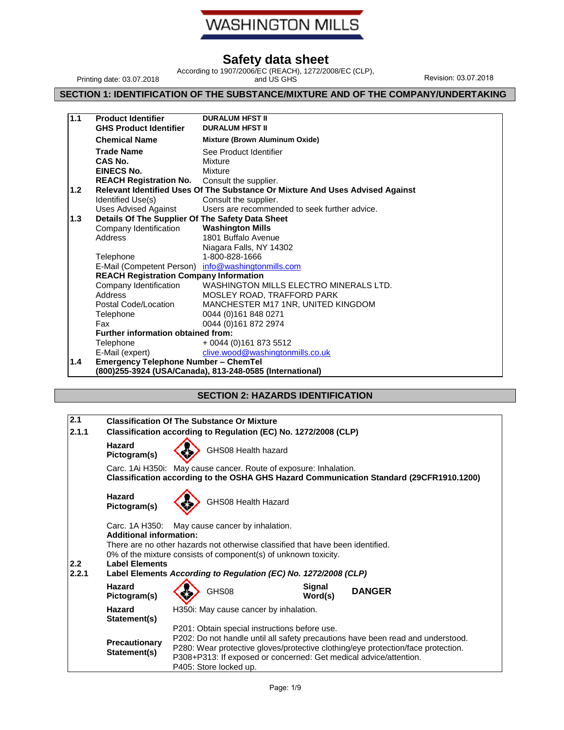# **WASHINGTON MILLS**

## **Safety data sheet**

Printing date: 03.07.2018

According to 1907/2006/EC (REACH), 1272/2008/EC (CLP), and US GHS Revision: 03.07.2018

## **SECTION 1: IDENTIFICATION OF THE SUBSTANCE/MIXTURE AND OF THE COMPANY/UNDERTAKING**

| 1.1 | <b>Product Identifier</b><br><b>GHS Product Identifier</b> | <b>DURALUM HFST II</b><br><b>DURALUM HFST II</b>                              |
|-----|------------------------------------------------------------|-------------------------------------------------------------------------------|
|     | <b>Chemical Name</b>                                       | <b>Mixture (Brown Aluminum Oxide)</b>                                         |
|     | <b>Trade Name</b>                                          | See Product Identifier                                                        |
|     | CAS No.                                                    | Mixture                                                                       |
|     | <b>EINECS No.</b>                                          | Mixture                                                                       |
|     | REACH Registration No. Consult the supplier.               |                                                                               |
| 1.2 |                                                            | Relevant Identified Uses Of The Substance Or Mixture And Uses Advised Against |
|     | Identified Use(s)                                          | Consult the supplier.                                                         |
|     | <b>Uses Advised Against</b>                                | Users are recommended to seek further advice.                                 |
| 1.3 | Details Of The Supplier Of The Safety Data Sheet           |                                                                               |
|     | Company Identification                                     | <b>Washington Mills</b>                                                       |
|     | Address                                                    | 1801 Buffalo Avenue                                                           |
|     |                                                            | Niagara Falls, NY 14302                                                       |
|     | Telephone                                                  | 1-800-828-1666                                                                |
|     |                                                            | E-Mail (Competent Person) info@washingtonmills.com                            |
|     | <b>REACH Registration Company Information</b>              |                                                                               |
|     | Company Identification                                     | WASHINGTON MILLS ELECTRO MINERALS LTD.                                        |
|     | Address                                                    | MOSLEY ROAD, TRAFFORD PARK                                                    |
|     | Postal Code/Location                                       | MANCHESTER M17 1NR, UNITED KINGDOM                                            |
|     | Telephone                                                  | 0044 (0)161 848 0271                                                          |
|     | Fax                                                        | 0044 (0)161 872 2974                                                          |
|     | <b>Further information obtained from:</b>                  |                                                                               |
|     | Telephone                                                  | + 0044 (0)161 873 5512                                                        |
|     | E-Mail (expert)                                            | clive.wood@washingtonmills.co.uk                                              |
| 1.4 | <b>Emergency Telephone Number - ChemTel</b>                |                                                                               |
|     |                                                            | (800)255-3924 (USA/Canada), 813-248-0585 (International)                      |

## **SECTION 2: HAZARDS IDENTIFICATION**

| 2.1          |                                                                                                                                                              |                                                                                                                                                                                                                                                                                                                     | <b>Classification Of The Substance Or Mixture</b> |                                                                                                                                                                                                                      |  |               |
|--------------|--------------------------------------------------------------------------------------------------------------------------------------------------------------|---------------------------------------------------------------------------------------------------------------------------------------------------------------------------------------------------------------------------------------------------------------------------------------------------------------------|---------------------------------------------------|----------------------------------------------------------------------------------------------------------------------------------------------------------------------------------------------------------------------|--|---------------|
| 2.1.1        |                                                                                                                                                              |                                                                                                                                                                                                                                                                                                                     |                                                   | Classification according to Regulation (EC) No. 1272/2008 (CLP)                                                                                                                                                      |  |               |
|              | Hazard<br>Pictogram(s)                                                                                                                                       |                                                                                                                                                                                                                                                                                                                     | GHS08 Health hazard                               |                                                                                                                                                                                                                      |  |               |
|              | Carc. 1Ai H350i: May cause cancer. Route of exposure: Inhalation.<br>Classification according to the OSHA GHS Hazard Communication Standard (29CFR1910.1200) |                                                                                                                                                                                                                                                                                                                     |                                                   |                                                                                                                                                                                                                      |  |               |
|              | Hazard<br>Pictogram(s)                                                                                                                                       |                                                                                                                                                                                                                                                                                                                     | GHS08 Health Hazard                               |                                                                                                                                                                                                                      |  |               |
| 2.2<br>2.2.1 | Carc. 1A H350:<br><b>Additional information:</b><br><b>Label Elements</b>                                                                                    |                                                                                                                                                                                                                                                                                                                     | May cause cancer by inhalation.                   | There are no other hazards not otherwise classified that have been identified.<br>0% of the mixture consists of component(s) of unknown toxicity.<br>Label Elements According to Regulation (EC) No. 1272/2008 (CLP) |  |               |
|              | Hazard<br>Pictogram(s)                                                                                                                                       |                                                                                                                                                                                                                                                                                                                     | GHS08                                             | Signal<br>Word(s)                                                                                                                                                                                                    |  | <b>DANGER</b> |
|              | Hazard<br>Statement(s)                                                                                                                                       | H350i: May cause cancer by inhalation.                                                                                                                                                                                                                                                                              |                                                   |                                                                                                                                                                                                                      |  |               |
|              | <b>Precautionary</b><br>Statement(s)                                                                                                                         | P201: Obtain special instructions before use.<br>P202: Do not handle until all safety precautions have been read and understood.<br>P280: Wear protective gloves/protective clothing/eye protection/face protection.<br>P308+P313: If exposed or concerned: Get medical advice/attention.<br>P405: Store locked up. |                                                   |                                                                                                                                                                                                                      |  |               |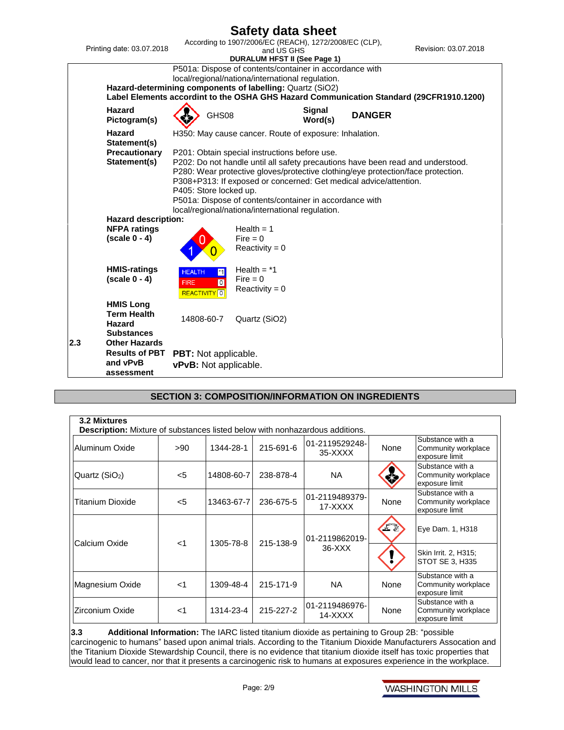

## **SECTION 3: COMPOSITION/INFORMATION ON INGREDIENTS**

| 3.2 Mixtures<br><b>Description:</b> Mixture of substances listed below with nonhazardous additions. |       |            |           |                           |      |                                                           |
|-----------------------------------------------------------------------------------------------------|-------|------------|-----------|---------------------------|------|-----------------------------------------------------------|
| Aluminum Oxide                                                                                      | >90   | 1344-28-1  | 215-691-6 | 01-2119529248-<br>35-XXXX | None | Substance with a<br>Community workplace<br>exposure limit |
| Quartz $(SiO2)$                                                                                     | $<$ 5 | 14808-60-7 | 238-878-4 | NA.                       |      | Substance with a<br>Community workplace<br>exposure limit |
| <b>Titanium Dioxide</b>                                                                             | $<$ 5 | 13463-67-7 | 236-675-5 | 01-2119489379-<br>17-XXXX | None | Substance with a<br>Community workplace<br>exposure limit |
| Calcium Oxide                                                                                       | $<$ 1 | 1305-78-8  | 215-138-9 | 01-2119862019-            | FE   | Eye Dam. 1, H318                                          |
|                                                                                                     |       |            |           | $36-XXX$                  |      | Skin Irrit. 2, H315;<br>STOT SE 3, H335                   |
| Magnesium Oxide                                                                                     | $<$ 1 | 1309-48-4  | 215-171-9 | <b>NA</b>                 | None | Substance with a<br>Community workplace<br>exposure limit |
| Zirconium Oxide                                                                                     | -1    | 1314-23-4  | 215-227-2 | 01-2119486976-<br>14-XXXX | None | Substance with a<br>Community workplace<br>exposure limit |

 $3.3$ **3.3 Additional Information:** The IARC listed titanium dioxide as pertaining to Group 2B: "possible carcinogenic to humans" based upon animal trials. According to the Titanium Dioxide Manufacturers Assocation and the Titanium Dioxide Stewardship Council, there is no evidence that titanium dioxide itself has toxic properties that would lead to cancer, nor that it presents a carcinogenic risk to humans at exposures experience in the workplace.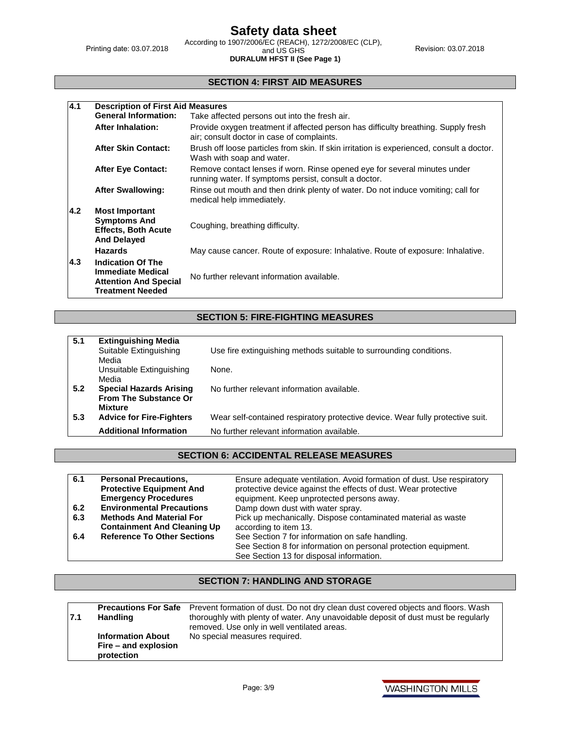Printing date: 03.07.2018

**DURALUM HFST II (See Page 1)**

According to 1907/2006/EC (REACH), 1272/2008/EC (CLP), 2018<br>and US GHS and US Revision: 03.07.2018

#### **SECTION 4: FIRST AID MEASURES**

| 4.1 | <b>Description of First Aid Measures</b>                                                                        |                                                                                                                                    |
|-----|-----------------------------------------------------------------------------------------------------------------|------------------------------------------------------------------------------------------------------------------------------------|
|     | <b>General Information:</b>                                                                                     | Take affected persons out into the fresh air.                                                                                      |
|     | <b>After Inhalation:</b>                                                                                        | Provide oxygen treatment if affected person has difficulty breathing. Supply fresh<br>air; consult doctor in case of complaints.   |
|     | <b>After Skin Contact:</b>                                                                                      | Brush off loose particles from skin. If skin irritation is experienced, consult a doctor.<br>Wash with soap and water.             |
|     | <b>After Eye Contact:</b>                                                                                       | Remove contact lenses if worn. Rinse opened eye for several minutes under<br>running water. If symptoms persist, consult a doctor. |
|     | <b>After Swallowing:</b>                                                                                        | Rinse out mouth and then drink plenty of water. Do not induce vomiting; call for<br>medical help immediately.                      |
| 4.2 | <b>Most Important</b><br><b>Symptoms And</b><br><b>Effects, Both Acute</b><br><b>And Delayed</b>                | Coughing, breathing difficulty.                                                                                                    |
|     | <b>Hazards</b>                                                                                                  | May cause cancer. Route of exposure: Inhalative. Route of exposure: Inhalative.                                                    |
| 4.3 | <b>Indication Of The</b><br><b>Immediate Medical</b><br><b>Attention And Special</b><br><b>Treatment Needed</b> | No further relevant information available.                                                                                         |

## **SECTION 5: FIRE-FIGHTING MEASURES**

| 5.1 | <b>Extinguishing Media</b>      |                                                                                |
|-----|---------------------------------|--------------------------------------------------------------------------------|
|     | Suitable Extinguishing          | Use fire extinguishing methods suitable to surrounding conditions.             |
|     | Media                           |                                                                                |
|     | Unsuitable Extinguishing        | None.                                                                          |
|     | Media                           |                                                                                |
| 5.2 | <b>Special Hazards Arising</b>  | No further relevant information available.                                     |
|     | <b>From The Substance Or</b>    |                                                                                |
|     | <b>Mixture</b>                  |                                                                                |
| 5.3 | <b>Advice for Fire-Fighters</b> | Wear self-contained respiratory protective device. Wear fully protective suit. |
|     | <b>Additional Information</b>   | No further relevant information available.                                     |
|     |                                 |                                                                                |

### **SECTION 6: ACCIDENTAL RELEASE MEASURES**

| 6.1 | <b>Personal Precautions,</b>       | Ensure adequate ventilation. Avoid formation of dust. Use respiratory |
|-----|------------------------------------|-----------------------------------------------------------------------|
|     | <b>Protective Equipment And</b>    | protective device against the effects of dust. Wear protective        |
|     | <b>Emergency Procedures</b>        | equipment. Keep unprotected persons away.                             |
| 6.2 | <b>Environmental Precautions</b>   | Damp down dust with water spray.                                      |
| 6.3 | <b>Methods And Material For</b>    | Pick up mechanically. Dispose contaminated material as waste          |
|     | <b>Containment And Cleaning Up</b> | according to item 13.                                                 |
| 6.4 | <b>Reference To Other Sections</b> | See Section 7 for information on safe handling.                       |
|     |                                    | See Section 8 for information on personal protection equipment.       |
|     |                                    | See Section 13 for disposal information.                              |

## **SECTION 7: HANDLING AND STORAGE**

| 17.1 | <b>Handling</b>                                                | <b>Precautions For Safe</b> Prevent formation of dust. Do not dry clean dust covered objects and floors. Wash<br>thoroughly with plenty of water. Any unavoidable deposit of dust must be regularly<br>removed. Use only in well ventilated areas. |
|------|----------------------------------------------------------------|----------------------------------------------------------------------------------------------------------------------------------------------------------------------------------------------------------------------------------------------------|
|      | <b>Information About</b><br>Fire – and explosion<br>protection | No special measures required.                                                                                                                                                                                                                      |

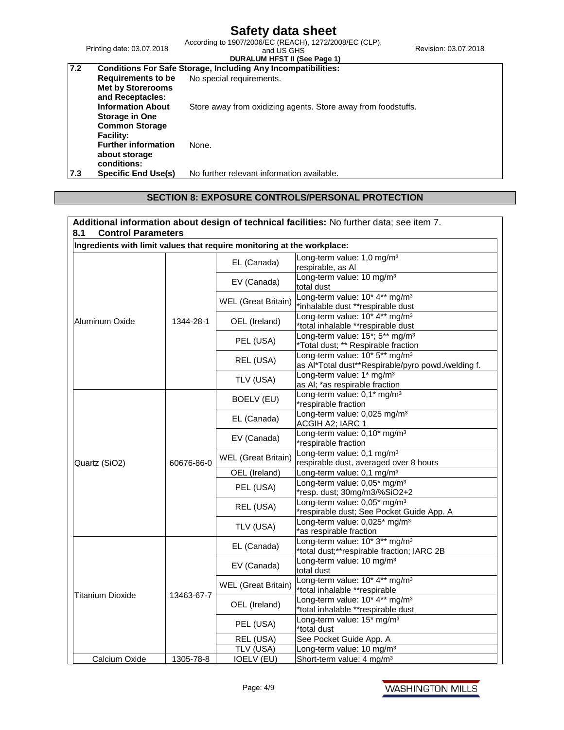Printing date: 03.07.2018

## **DURALUM HFST II (See Page 1)**

| 7.2 |                            | <b>Conditions For Safe Storage, Including Any Incompatibilities:</b> |
|-----|----------------------------|----------------------------------------------------------------------|
|     | Requirements to be         | No special requirements.                                             |
|     | <b>Met by Storerooms</b>   |                                                                      |
|     | and Receptacles:           |                                                                      |
|     | <b>Information About</b>   | Store away from oxidizing agents. Store away from foodstuffs.        |
|     | <b>Storage in One</b>      |                                                                      |
|     | <b>Common Storage</b>      |                                                                      |
|     | <b>Facility:</b>           |                                                                      |
|     | <b>Further information</b> | None.                                                                |
|     | about storage              |                                                                      |
|     | conditions:                |                                                                      |
| 7.3 | Specific End Use(s)        | No further relevant information available.                           |

### **SECTION 8: EXPOSURE CONTROLS/PERSONAL PROTECTION**

| Ingredients with limit values that require monitoring at the workplace: |            |                            |                                                                                                  |
|-------------------------------------------------------------------------|------------|----------------------------|--------------------------------------------------------------------------------------------------|
|                                                                         |            | EL (Canada)                | Long-term value: 1,0 mg/m <sup>3</sup><br>respirable, as Al                                      |
|                                                                         |            | EV (Canada)                | Long-term value: 10 mg/m <sup>3</sup><br>total dust                                              |
|                                                                         |            | <b>WEL</b> (Great Britain) | Long-term value: 10* 4** mg/m <sup>3</sup><br>*inhalable dust **respirable dust                  |
| Aluminum Oxide                                                          | 1344-28-1  | OEL (Ireland)              | Long-term value: 10* 4** mg/m <sup>3</sup><br>*total inhalable **respirable dust                 |
|                                                                         |            | PEL (USA)                  | Long-term value: 15*; 5** mg/m <sup>3</sup><br>*Total dust; ** Respirable fraction               |
|                                                                         |            | REL (USA)                  | Long-term value: 10* 5** mg/m <sup>3</sup><br>as Al*Total dust**Respirable/pyro powd./welding f. |
|                                                                         |            | TLV (USA)                  | Long-term value: 1* mg/m <sup>3</sup><br>as AI; *as respirable fraction                          |
|                                                                         |            | BOELV (EU)                 | Long-term value: 0,1* mg/m <sup>3</sup><br>*respirable fraction                                  |
|                                                                         |            | EL (Canada)                | Long-term value: 0,025 mg/m <sup>3</sup><br>ACGIH A2; IARC 1                                     |
|                                                                         |            | EV (Canada)                | Long-term value: 0,10* mg/m <sup>3</sup><br>*respirable fraction                                 |
| Quartz (SiO2)                                                           | 60676-86-0 | <b>WEL</b> (Great Britain) | Long-term value: 0,1 mg/m <sup>3</sup><br>respirable dust, averaged over 8 hours                 |
|                                                                         |            | OEL (Ireland)              | Long-term value: 0,1 mg/m <sup>3</sup>                                                           |
|                                                                         |            | PEL (USA)                  | Long-term value: 0,05* mg/m <sup>3</sup><br>*resp. dust; 30mg/m3/%SiO2+2                         |
|                                                                         |            | REL (USA)                  | Long-term value: 0,05* mg/m <sup>3</sup><br>*respirable dust; See Pocket Guide App. A            |
|                                                                         |            | TLV (USA)                  | Long-term value: 0,025* mg/m <sup>3</sup><br>*as respirable fraction                             |
|                                                                         |            | EL (Canada)                | Long-term value: 10* 3** mg/m <sup>3</sup><br>*total dust;**respirable fraction; IARC 2B         |
|                                                                         |            | EV (Canada)                | Long-term value: 10 mg/m <sup>3</sup><br>total dust                                              |
| Titanium Dioxide                                                        | 13463-67-7 | <b>WEL</b> (Great Britain) | Long-term value: 10* 4** mg/m <sup>3</sup><br>*total inhalable **respirable                      |
|                                                                         |            | OEL (Ireland)              | Long-term value: 10* 4** mg/m <sup>3</sup><br>*total inhalable **respirable dust                 |
|                                                                         |            | PEL (USA)                  | Long-term value: 15* mg/m <sup>3</sup><br>*total dust                                            |
|                                                                         |            | REL (USA)                  | See Pocket Guide App. A                                                                          |
|                                                                         |            | TLV (USA)                  | Long-term value: 10 mg/m <sup>3</sup>                                                            |
| Calcium Oxide                                                           | 1305-78-8  | <b>IOELV (EU)</b>          | Short-term value: 4 mg/m <sup>3</sup>                                                            |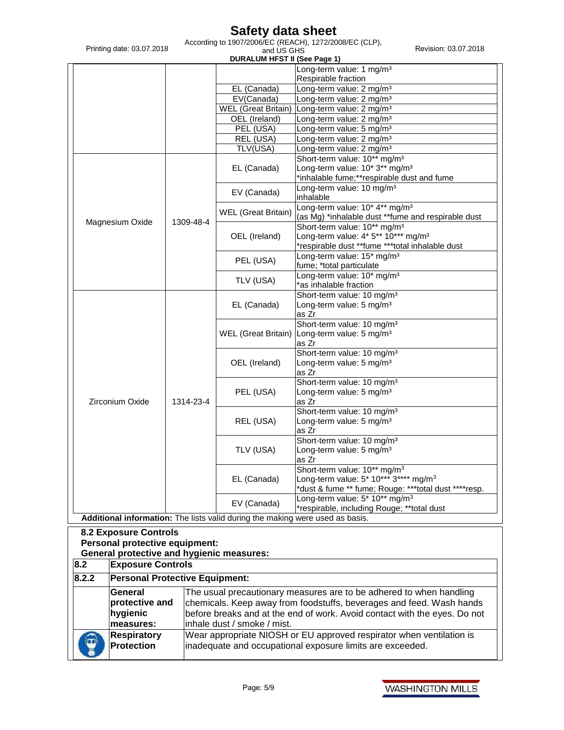According to 1907/2006/EC (REACH), 1272/2008/EC (CLP), 2018<br>and US GHS and US Revision: 03.07.2018

| Printing date: 03.07.2018                                                      |           | According to 1907/2006/EC (REACH), 1272/2008/EC (CLP),<br>and US GHS<br><b>DURALUM HFST II (See Page 1)</b> | Revision: 03.07.2018                                                      |  |  |
|--------------------------------------------------------------------------------|-----------|-------------------------------------------------------------------------------------------------------------|---------------------------------------------------------------------------|--|--|
|                                                                                |           |                                                                                                             | Long-term value: 1 mg/m <sup>3</sup>                                      |  |  |
|                                                                                |           |                                                                                                             | Respirable fraction                                                       |  |  |
|                                                                                |           | EL (Canada)                                                                                                 | Long-term value: 2 mg/m <sup>3</sup>                                      |  |  |
|                                                                                |           | EV(Canada)                                                                                                  | Long-term value: 2 mg/m <sup>3</sup>                                      |  |  |
|                                                                                |           | WEL (Great Britain)                                                                                         |                                                                           |  |  |
|                                                                                |           |                                                                                                             | Long-term value: 2 mg/m <sup>3</sup>                                      |  |  |
|                                                                                |           | OEL (Ireland)                                                                                               | Long-term value: 2 mg/m <sup>3</sup>                                      |  |  |
|                                                                                |           | PEL (USA)                                                                                                   | Long-term value: 5 mg/m <sup>3</sup>                                      |  |  |
|                                                                                |           | REL (USA)                                                                                                   | Long-term value: 2 mg/m <sup>3</sup>                                      |  |  |
|                                                                                |           | TLV(USA)                                                                                                    | Long-term value: 2 mg/m <sup>3</sup>                                      |  |  |
|                                                                                |           |                                                                                                             | Short-term value: 10** mg/m <sup>3</sup>                                  |  |  |
|                                                                                |           | EL (Canada)                                                                                                 | Long-term value: 10* 3** mg/m <sup>3</sup>                                |  |  |
|                                                                                |           |                                                                                                             | *inhalable fume;**respirable dust and fume                                |  |  |
|                                                                                |           |                                                                                                             | Long-term value: 10 mg/m <sup>3</sup>                                     |  |  |
|                                                                                |           | EV (Canada)                                                                                                 | inhalable                                                                 |  |  |
|                                                                                |           |                                                                                                             | Long-term value: 10* 4** mg/m <sup>3</sup>                                |  |  |
|                                                                                |           | WEL (Great Britain)                                                                                         | (as Mg) *inhalable dust **fume and respirable dust                        |  |  |
| Magnesium Oxide                                                                | 1309-48-4 |                                                                                                             | Short-term value: 10** mg/m <sup>3</sup>                                  |  |  |
|                                                                                |           |                                                                                                             | Long-term value: 4* 5** 10*** mg/m <sup>3</sup>                           |  |  |
|                                                                                |           | OEL (Ireland)                                                                                               |                                                                           |  |  |
|                                                                                |           |                                                                                                             | *respirable dust **fume ***total inhalable dust                           |  |  |
|                                                                                |           | PEL (USA)                                                                                                   | Long-term value: 15* mg/m <sup>3</sup>                                    |  |  |
|                                                                                |           |                                                                                                             | fume; *total particulate                                                  |  |  |
|                                                                                |           | TLV (USA)                                                                                                   | Long-term value: 10* mg/m <sup>3</sup>                                    |  |  |
|                                                                                |           |                                                                                                             | *as inhalable fraction                                                    |  |  |
|                                                                                |           |                                                                                                             | Short-term value: 10 mg/m <sup>3</sup>                                    |  |  |
|                                                                                |           | EL (Canada)                                                                                                 | Long-term value: 5 mg/m <sup>3</sup>                                      |  |  |
|                                                                                |           |                                                                                                             | as Zr                                                                     |  |  |
|                                                                                |           | <b>WEL</b> (Great Britain)                                                                                  | Short-term value: 10 mg/m <sup>3</sup>                                    |  |  |
|                                                                                |           |                                                                                                             | Long-term value: 5 mg/m <sup>3</sup>                                      |  |  |
|                                                                                |           |                                                                                                             | as Zr                                                                     |  |  |
|                                                                                |           |                                                                                                             | Short-term value: 10 mg/m <sup>3</sup>                                    |  |  |
|                                                                                |           | OEL (Ireland)                                                                                               | Long-term value: 5 mg/m <sup>3</sup>                                      |  |  |
|                                                                                |           |                                                                                                             | as Zr                                                                     |  |  |
|                                                                                |           |                                                                                                             | Short-term value: 10 mg/m <sup>3</sup>                                    |  |  |
|                                                                                |           | PEL (USA)                                                                                                   | Long-term value: 5 mg/m <sup>3</sup>                                      |  |  |
|                                                                                |           |                                                                                                             | as Zr                                                                     |  |  |
| Zirconium Oxide                                                                | 1314-23-4 |                                                                                                             |                                                                           |  |  |
|                                                                                |           | REL (USA)                                                                                                   | Short-term value: 10 mg/m <sup>3</sup>                                    |  |  |
|                                                                                |           |                                                                                                             | Long-term value: 5 mg/m <sup>3</sup>                                      |  |  |
|                                                                                |           |                                                                                                             | as Zr                                                                     |  |  |
|                                                                                |           |                                                                                                             | Short-term value: 10 mg/m <sup>3</sup>                                    |  |  |
|                                                                                |           | TLV (USA)                                                                                                   | Long-term value: 5 mg/m <sup>3</sup>                                      |  |  |
|                                                                                |           |                                                                                                             | as Zr                                                                     |  |  |
|                                                                                |           |                                                                                                             | Short-term value: 10** mg/m <sup>3</sup>                                  |  |  |
|                                                                                |           | EL (Canada)                                                                                                 | Long-term value: 5* 10*** 3**** mg/m <sup>3</sup>                         |  |  |
|                                                                                |           |                                                                                                             | *dust & fume ** fume; Rouge: ***total dust ****resp.                      |  |  |
|                                                                                |           | EV (Canada)                                                                                                 | Long-term value: $5*10**$ mg/m <sup>3</sup>                               |  |  |
|                                                                                |           |                                                                                                             | *respirable, including Rouge; **total dust                                |  |  |
|                                                                                |           | Additional information: The lists valid during the making were used as basis.                               |                                                                           |  |  |
| <b>8.2 Exposure Controls</b>                                                   |           |                                                                                                             |                                                                           |  |  |
|                                                                                |           |                                                                                                             |                                                                           |  |  |
| Personal protective equipment:                                                 |           |                                                                                                             |                                                                           |  |  |
| <b>General protective and hygienic measures:</b>                               |           |                                                                                                             |                                                                           |  |  |
| 8.2<br><b>Exposure Controls</b>                                                |           |                                                                                                             |                                                                           |  |  |
| 8.2.2<br><b>Personal Protective Equipment:</b>                                 |           |                                                                                                             |                                                                           |  |  |
| General<br>The usual precautionary measures are to be adhered to when handling |           |                                                                                                             |                                                                           |  |  |
| protective and                                                                 |           |                                                                                                             | chemicals. Keep away from foodstuffs, beverages and feed. Wash hands      |  |  |
|                                                                                |           |                                                                                                             |                                                                           |  |  |
| hygienic                                                                       |           |                                                                                                             | before breaks and at the end of work. Avoid contact with the eyes. Do not |  |  |
| measures:                                                                      |           | inhale dust / smoke / mist.                                                                                 |                                                                           |  |  |
| <b>Respiratory</b>                                                             |           |                                                                                                             | Wear appropriate NIOSH or EU approved respirator when ventilation is      |  |  |
|                                                                                |           |                                                                                                             | inadequate and occupational exposure limits are exceeded.                 |  |  |
| <b>Protection</b>                                                              |           |                                                                                                             |                                                                           |  |  |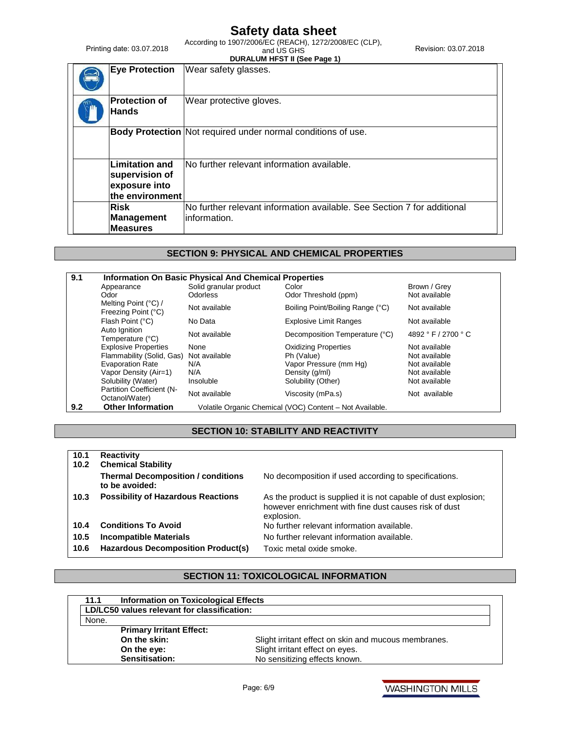According to 1907/2006/EC (REACH), 1272/2008/EC (CLP), 2018<br>and US GHS and US Revision: 03.07.2018

Printing date: 03.07.2018

|                                                                             | <b>DURALUM HFST II (See Page 1)</b>                                                      |
|-----------------------------------------------------------------------------|------------------------------------------------------------------------------------------|
| <b>Eye Protection</b>                                                       | Wear safety glasses.                                                                     |
| <b>Protection of</b><br><b>Hands</b>                                        | Wear protective gloves.                                                                  |
|                                                                             | Body Protection Not required under normal conditions of use.                             |
| <b>Limitation and</b><br>supervision of<br>exposure into<br>the environment | No further relevant information available.                                               |
| <b>Risk</b><br>Management<br><b>Measures</b>                                | No further relevant information available. See Section 7 for additional<br>linformation. |

## **SECTION 9: PHYSICAL AND CHEMICAL PROPERTIES**

| 9.1 | <b>Information On Basic Physical And Chemical Properties</b> |                        |                                                          |                     |  |
|-----|--------------------------------------------------------------|------------------------|----------------------------------------------------------|---------------------|--|
|     | Appearance                                                   | Solid granular product | Color                                                    | Brown / Grey        |  |
|     | Odor                                                         | Odorless               | Odor Threshold (ppm)                                     | Not available       |  |
|     | Melting Point (°C) /<br>Freezing Point (°C)                  | Not available          | Boiling Point/Boiling Range (°C)                         | Not available       |  |
|     | Flash Point (°C)                                             | No Data                | <b>Explosive Limit Ranges</b>                            | Not available       |  |
|     | Auto Ignition<br>Temperature (°C)                            | Not available          | Decomposition Temperature (°C)                           | 4892 ° F / 2700 ° C |  |
|     | <b>Explosive Properties</b>                                  | None                   | <b>Oxidizing Properties</b>                              | Not available       |  |
|     | Flammability (Solid, Gas)                                    | Not available          | Ph (Value)                                               | Not available       |  |
|     | <b>Evaporation Rate</b>                                      | N/A                    | Vapor Pressure (mm Hg)                                   | Not available       |  |
|     | Vapor Density (Air=1)                                        | N/A                    | Density (g/ml)                                           | Not available       |  |
|     | Solubility (Water)                                           | Insoluble              | Solubility (Other)                                       | Not available       |  |
|     | Partition Coefficient (N-<br>Octanol/Water)                  | Not available          | Viscosity (mPa.s)                                        | Not available       |  |
| 9.2 | <b>Other Information</b>                                     |                        | Volatile Organic Chemical (VOC) Content - Not Available. |                     |  |

## **SECTION 10: STABILITY AND REACTIVITY**

| 10.1<br>10.2 | <b>Reactivity</b><br><b>Chemical Stability</b>              |                                                                                                                                        |
|--------------|-------------------------------------------------------------|----------------------------------------------------------------------------------------------------------------------------------------|
|              | <b>Thermal Decomposition / conditions</b><br>to be avoided: | No decomposition if used according to specifications.                                                                                  |
| 10.3         | <b>Possibility of Hazardous Reactions</b>                   | As the product is supplied it is not capable of dust explosion;<br>however enrichment with fine dust causes risk of dust<br>explosion. |
| 10.4         | <b>Conditions To Avoid</b>                                  | No further relevant information available.                                                                                             |
| 10.5         | <b>Incompatible Materials</b>                               | No further relevant information available.                                                                                             |
| 10.6         | Hazardous Decomposition Product(s)                          | Toxic metal oxide smoke.                                                                                                               |

## **SECTION 11: TOXICOLOGICAL INFORMATION**

| <b>Information on Toxicological Effects</b><br>11.1 |                                                      |
|-----------------------------------------------------|------------------------------------------------------|
| LD/LC50 values relevant for classification:         |                                                      |
| None.                                               |                                                      |
| <b>Primary Irritant Effect:</b>                     |                                                      |
| On the skin:                                        | Slight irritant effect on skin and mucous membranes. |
| On the eye:                                         | Slight irritant effect on eyes.                      |
| Sensitisation:                                      | No sensitizing effects known.                        |

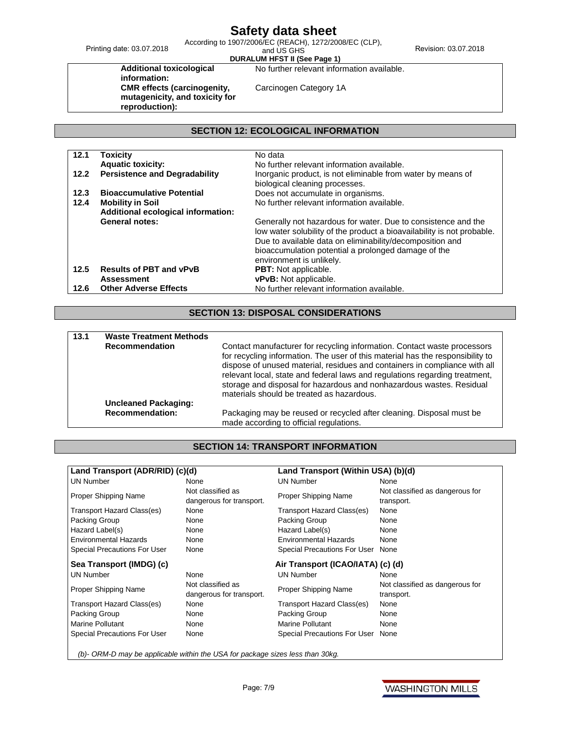Printing date: 03.07.2018

**DURALUM HFST II (See Page 1)**

According to 1907/2006/EC (REACH), 1272/2008/EC (CLP), 2018<br>and US GHS and US Revision: 03.07.2018

**Additional toxicological information: CMR effects (carcinogenity, mutagenicity, and toxicity for reproduction):**

Carcinogen Category 1A

No further relevant information available.

## **SECTION 12: ECOLOGICAL INFORMATION**

| 12.1                            | <b>Toxicity</b>                      | No data                                                                |
|---------------------------------|--------------------------------------|------------------------------------------------------------------------|
|                                 | <b>Aquatic toxicity:</b>             | No further relevant information available.                             |
| 12.2                            | <b>Persistence and Degradability</b> | Inorganic product, is not eliminable from water by means of            |
|                                 |                                      | biological cleaning processes.                                         |
| 12.3                            | <b>Bioaccumulative Potential</b>     | Does not accumulate in organisms.                                      |
| 12.4<br><b>Mobility in Soil</b> |                                      | No further relevant information available.                             |
|                                 |                                      |                                                                        |
|                                 | <b>General notes:</b>                | Generally not hazardous for water. Due to consistence and the          |
|                                 |                                      | low water solubility of the product a bioavailability is not probable. |
|                                 |                                      | Due to available data on eliminability/decomposition and               |
|                                 |                                      | bioaccumulation potential a prolonged damage of the                    |
|                                 |                                      | environment is unlikely.                                               |
| 12.5                            | <b>Results of PBT and vPvB</b>       | <b>PBT:</b> Not applicable.                                            |
|                                 | <b>Assessment</b>                    | vPvB: Not applicable.                                                  |
| 12.6                            | <b>Other Adverse Effects</b>         | No further relevant information available.                             |

## **SECTION 13: DISPOSAL CONSIDERATIONS**

| 13.1 | <b>Waste Treatment Methods</b> |                                                                                                                                                                                                                                                                                                                                                                                                                                              |
|------|--------------------------------|----------------------------------------------------------------------------------------------------------------------------------------------------------------------------------------------------------------------------------------------------------------------------------------------------------------------------------------------------------------------------------------------------------------------------------------------|
|      | <b>Recommendation</b>          | Contact manufacturer for recycling information. Contact waste processors<br>for recycling information. The user of this material has the responsibility to<br>dispose of unused material, residues and containers in compliance with all<br>relevant local, state and federal laws and regulations regarding treatment,<br>storage and disposal for hazardous and nonhazardous wastes. Residual<br>materials should be treated as hazardous. |
|      | <b>Uncleaned Packaging:</b>    |                                                                                                                                                                                                                                                                                                                                                                                                                                              |
|      | <b>Recommendation:</b>         | Packaging may be reused or recycled after cleaning. Disposal must be<br>made according to official regulations.                                                                                                                                                                                                                                                                                                                              |

## **SECTION 14: TRANSPORT INFORMATION**

| Land Transport (ADR/RID) (c)(d)                                               |                                               | Land Transport (Within USA) (b)(d) |                                               |  |
|-------------------------------------------------------------------------------|-----------------------------------------------|------------------------------------|-----------------------------------------------|--|
| <b>UN Number</b>                                                              | None                                          | <b>UN Number</b>                   | None                                          |  |
| Proper Shipping Name                                                          | Not classified as                             | Proper Shipping Name               | Not classified as dangerous for               |  |
|                                                                               | dangerous for transport.                      |                                    | transport.                                    |  |
| Transport Hazard Class(es)                                                    | None                                          | Transport Hazard Class(es)         | None                                          |  |
| Packing Group                                                                 | None                                          | Packing Group                      | None                                          |  |
| Hazard Label(s)                                                               | None                                          | Hazard Label(s)                    | None                                          |  |
| Environmental Hazards                                                         | None                                          | <b>Environmental Hazards</b>       | None                                          |  |
| Special Precautions For User                                                  | None                                          | Special Precautions For User None  |                                               |  |
| Sea Transport (IMDG) (c)                                                      |                                               | Air Transport (ICAO/IATA) (c) (d)  |                                               |  |
| <b>UN Number</b>                                                              | None                                          | <b>UN Number</b>                   | None                                          |  |
| Proper Shipping Name                                                          | Not classified as<br>dangerous for transport. | Proper Shipping Name               | Not classified as dangerous for<br>transport. |  |
| Transport Hazard Class(es)                                                    | None                                          | Transport Hazard Class(es)         | None                                          |  |
| Packing Group                                                                 | None                                          | Packing Group                      | None                                          |  |
| <b>Marine Pollutant</b>                                                       | None                                          | <b>Marine Pollutant</b>            | None                                          |  |
| Special Precautions For User                                                  | None                                          | Special Precautions For User       | None                                          |  |
| (b)- ORM-D may be applicable within the USA for package sizes less than 30kg. |                                               |                                    |                                               |  |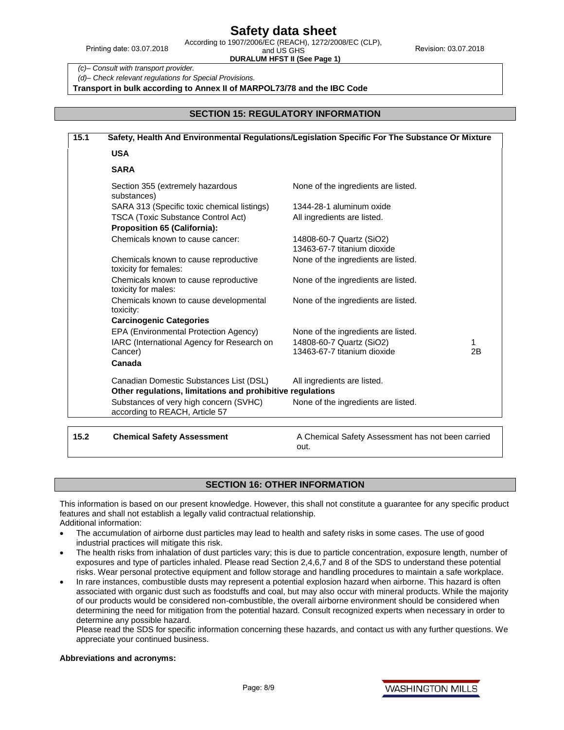Printing date: 03.07.2018

**DURALUM HFST II (See Page 1)**

*(c)– Consult with transport provider.*

*(d)– Check relevant regulations for Special Provisions.*

**Transport in bulk according to Annex II of MARPOL73/78 and the IBC Code**

#### **SECTION 15: REGULATORY INFORMATION**

| Safety, Health And Environmental Regulations/Legislation Specific For The Substance Or Mixture |                                                         |  |  |
|------------------------------------------------------------------------------------------------|---------------------------------------------------------|--|--|
| <b>USA</b>                                                                                     |                                                         |  |  |
| <b>SARA</b>                                                                                    |                                                         |  |  |
| Section 355 (extremely hazardous<br>substances)                                                | None of the ingredients are listed.                     |  |  |
| SARA 313 (Specific toxic chemical listings)                                                    | 1344-28-1 aluminum oxide                                |  |  |
| <b>TSCA (Toxic Substance Control Act)</b><br><b>Proposition 65 (California):</b>               | All ingredients are listed.                             |  |  |
| Chemicals known to cause cancer:                                                               | 14808-60-7 Quartz (SiO2)<br>13463-67-7 titanium dioxide |  |  |
| Chemicals known to cause reproductive<br>toxicity for females:                                 | None of the ingredients are listed.                     |  |  |
| Chemicals known to cause reproductive<br>toxicity for males:                                   | None of the ingredients are listed.                     |  |  |
| Chemicals known to cause developmental<br>toxicity:                                            | None of the ingredients are listed.                     |  |  |
| <b>Carcinogenic Categories</b>                                                                 |                                                         |  |  |
| EPA (Environmental Protection Agency)                                                          | None of the ingredients are listed.                     |  |  |
| IARC (International Agency for Research on<br>Cancer)                                          | 14808-60-7 Quartz (SiO2)<br>13463-67-7 titanium dioxide |  |  |
| Canada                                                                                         |                                                         |  |  |
| Canadian Domestic Substances List (DSL)                                                        | All ingredients are listed.                             |  |  |
| Other regulations, limitations and prohibitive regulations                                     |                                                         |  |  |
| Substances of very high concern (SVHC)<br>according to REACH, Article 57                       | None of the ingredients are listed.                     |  |  |

**15.2 Chemical Safety Assessment** A Chemical Safety Assessment has not been carried out.

#### **SECTION 16: OTHER INFORMATION**

This information is based on our present knowledge. However, this shall not constitute a guarantee for any specific product features and shall not establish a legally valid contractual relationship.

Additional information:

- The accumulation of airborne dust particles may lead to health and safety risks in some cases. The use of good industrial practices will mitigate this risk.
- The health risks from inhalation of dust particles vary; this is due to particle concentration, exposure length, number of exposures and type of particles inhaled. Please read Section 2,4,6,7 and 8 of the SDS to understand these potential risks. Wear personal protective equipment and follow storage and handling procedures to maintain a safe workplace.
- In rare instances, combustible dusts may represent a potential explosion hazard when airborne. This hazard is often associated with organic dust such as foodstuffs and coal, but may also occur with mineral products. While the majority of our products would be considered non-combustible, the overall airborne environment should be considered when determining the need for mitigation from the potential hazard. Consult recognized experts when necessary in order to determine any possible hazard.

Please read the SDS for specific information concerning these hazards, and contact us with any further questions. We appreciate your continued business.

#### **Abbreviations and acronyms:**